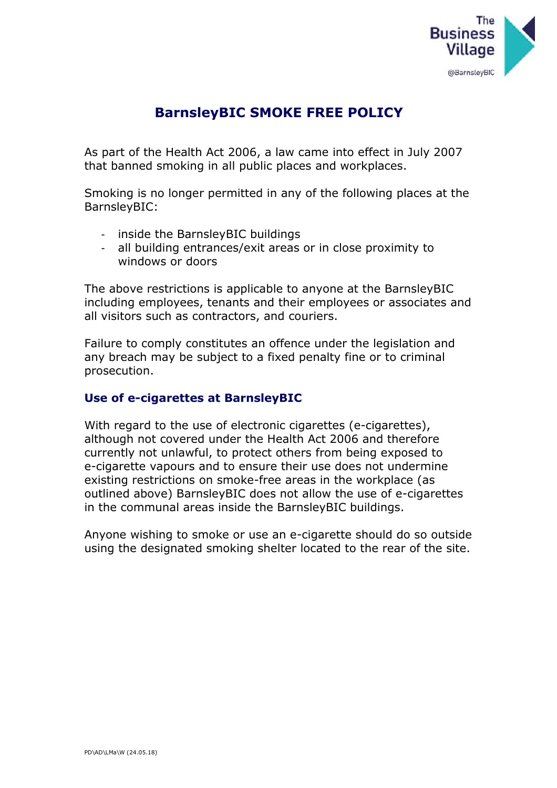

## **BarnsleyBIC SMOKE FREE POLICY**

As part of the Health Act 2006, a law came into effect in July 2007 that banned smoking in all public places and workplaces.

Smoking is no longer permitted in any of the following places at the BarnsleyBIC:

- inside the BarnsleyBIC buildings
- all building entrances/exit areas or in close proximity to windows or doors

The above restrictions is applicable to anyone at the BarnsleyBIC including employees, tenants and their employees or associates and all visitors such as contractors, and couriers.

Failure to comply constitutes an offence under the legislation and any breach may be subject to a fixed penalty fine or to criminal prosecution.

## **Use of e-cigarettes at BarnsleyBIC**

With regard to the use of electronic cigarettes (e-cigarettes), although not covered under the Health Act 2006 and therefore currently not unlawful, to protect others from being exposed to e-cigarette vapours and to ensure their use does not undermine existing restrictions on smoke-free areas in the workplace (as outlined above) BarnsleyBIC does not allow the use of e-cigarettes in the communal areas inside the BarnsleyBIC buildings.

Anyone wishing to smoke or use an e-cigarette should do so outside using the designated smoking shelter located to the rear of the site.